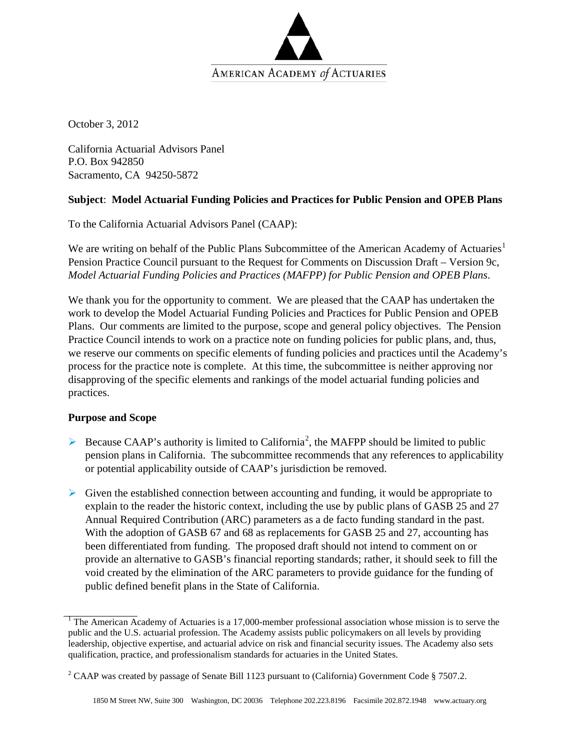

October 3, 2012

California Actuarial Advisors Panel P.O. Box 942850 Sacramento, CA 94250-5872

## **Subject**: **Model Actuarial Funding Policies and Practices for Public Pension and OPEB Plans**

To the California Actuarial Advisors Panel (CAAP):

We are writing on behalf of the Public Plans Subcommittee of the American Academy of Actuaries<sup>[1](#page-0-0)</sup> Pension Practice Council pursuant to the Request for Comments on Discussion Draft – Version 9c, *Model Actuarial Funding Policies and Practices (MAFPP) for Public Pension and OPEB Plans*.

We thank you for the opportunity to comment. We are pleased that the CAAP has undertaken the work to develop the Model Actuarial Funding Policies and Practices for Public Pension and OPEB Plans. Our comments are limited to the purpose, scope and general policy objectives. The Pension Practice Council intends to work on a practice note on funding policies for public plans, and, thus, we reserve our comments on specific elements of funding policies and practices until the Academy's process for the practice note is complete. At this time, the subcommittee is neither approving nor disapproving of the specific elements and rankings of the model actuarial funding policies and practices.

## **Purpose and Scope**

- Because CAAP's authority is limited to California<sup>[2](#page-0-1)</sup>, the MAFPP should be limited to public pension plans in California. The subcommittee recommends that any references to applicability or potential applicability outside of CAAP's jurisdiction be removed.
- $\triangleright$  Given the established connection between accounting and funding, it would be appropriate to explain to the reader the historic context, including the use by public plans of GASB 25 and 27 Annual Required Contribution (ARC) parameters as a de facto funding standard in the past. With the adoption of GASB 67 and 68 as replacements for GASB 25 and 27, accounting has been differentiated from funding. The proposed draft should not intend to comment on or provide an alternative to GASB's financial reporting standards; rather, it should seek to fill the void created by the elimination of the ARC parameters to provide guidance for the funding of public defined benefit plans in the State of California.

<span id="page-0-0"></span><sup>&</sup>lt;sup>1</sup> The American Academy of Actuaries is a 17,000-member professional association whose mission is to serve the public and the U.S. actuarial profession. The Academy assists public policymakers on all levels by providing leadership, objective expertise, and actuarial advice on risk and financial security issues. The Academy also sets qualification, practice, and professionalism standards for actuaries in the United States.

<span id="page-0-1"></span><sup>&</sup>lt;sup>2</sup> CAAP was created by passage of Senate Bill 1123 pursuant to (California) Government Code § 7507.2.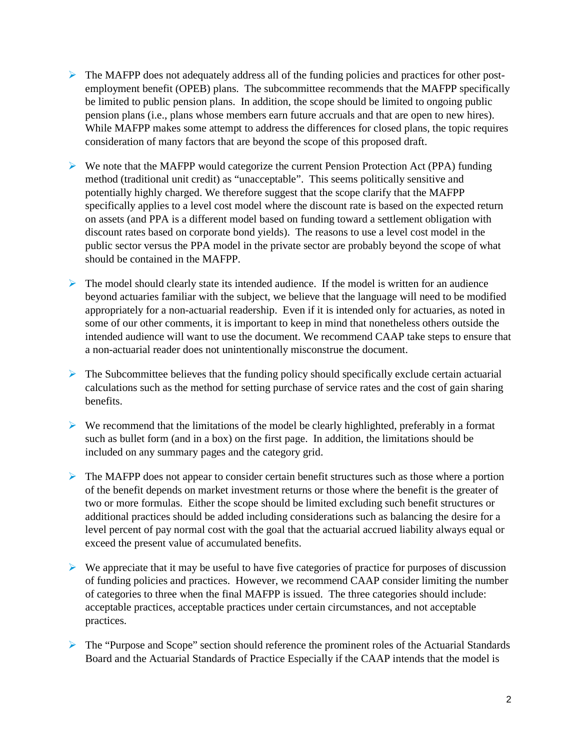- $\triangleright$  The MAFPP does not adequately address all of the funding policies and practices for other postemployment benefit (OPEB) plans. The subcommittee recommends that the MAFPP specifically be limited to public pension plans. In addition, the scope should be limited to ongoing public pension plans (i.e., plans whose members earn future accruals and that are open to new hires). While MAFPP makes some attempt to address the differences for closed plans, the topic requires consideration of many factors that are beyond the scope of this proposed draft.
- $\triangleright$  We note that the MAFPP would categorize the current Pension Protection Act (PPA) funding method (traditional unit credit) as "unacceptable". This seems politically sensitive and potentially highly charged. We therefore suggest that the scope clarify that the MAFPP specifically applies to a level cost model where the discount rate is based on the expected return on assets (and PPA is a different model based on funding toward a settlement obligation with discount rates based on corporate bond yields). The reasons to use a level cost model in the public sector versus the PPA model in the private sector are probably beyond the scope of what should be contained in the MAFPP.
- $\triangleright$  The model should clearly state its intended audience. If the model is written for an audience beyond actuaries familiar with the subject, we believe that the language will need to be modified appropriately for a non-actuarial readership. Even if it is intended only for actuaries, as noted in some of our other comments, it is important to keep in mind that nonetheless others outside the intended audience will want to use the document. We recommend CAAP take steps to ensure that a non-actuarial reader does not unintentionally misconstrue the document.
- $\triangleright$  The Subcommittee believes that the funding policy should specifically exclude certain actuarial calculations such as the method for setting purchase of service rates and the cost of gain sharing benefits.
- $\triangleright$  We recommend that the limitations of the model be clearly highlighted, preferably in a format such as bullet form (and in a box) on the first page. In addition, the limitations should be included on any summary pages and the category grid.
- $\triangleright$  The MAFPP does not appear to consider certain benefit structures such as those where a portion of the benefit depends on market investment returns or those where the benefit is the greater of two or more formulas. Either the scope should be limited excluding such benefit structures or additional practices should be added including considerations such as balancing the desire for a level percent of pay normal cost with the goal that the actuarial accrued liability always equal or exceed the present value of accumulated benefits.
- $\triangleright$  We appreciate that it may be useful to have five categories of practice for purposes of discussion of funding policies and practices. However, we recommend CAAP consider limiting the number of categories to three when the final MAFPP is issued. The three categories should include: acceptable practices, acceptable practices under certain circumstances, and not acceptable practices.
- The "Purpose and Scope" section should reference the prominent roles of the Actuarial Standards Board and the Actuarial Standards of Practice Especially if the CAAP intends that the model is